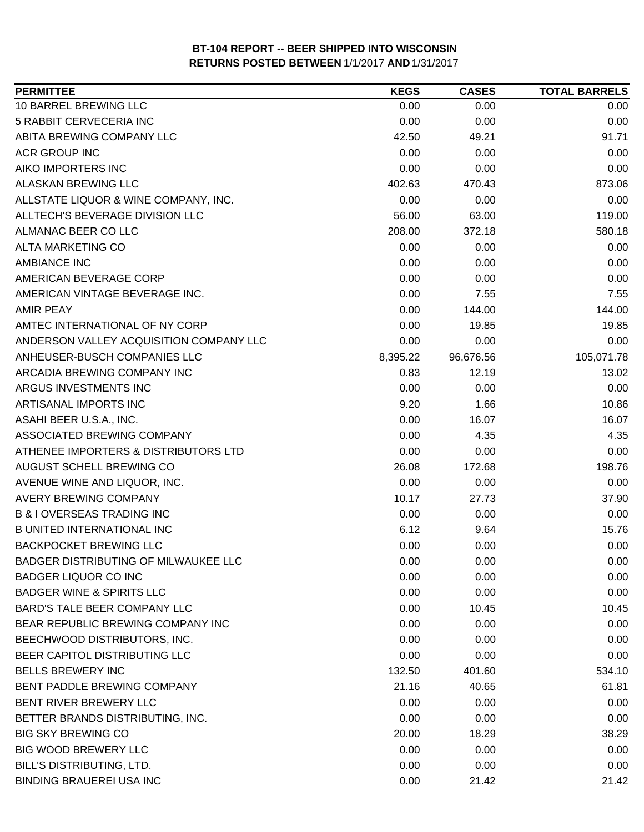| <b>PERMITTEE</b>                        | <b>KEGS</b> | <b>CASES</b> | <b>TOTAL BARRELS</b> |
|-----------------------------------------|-------------|--------------|----------------------|
| 10 BARREL BREWING LLC                   | 0.00        | 0.00         | 0.00                 |
| <b>5 RABBIT CERVECERIA INC</b>          | 0.00        | 0.00         | 0.00                 |
| ABITA BREWING COMPANY LLC               | 42.50       | 49.21        | 91.71                |
| <b>ACR GROUP INC</b>                    | 0.00        | 0.00         | 0.00                 |
| AIKO IMPORTERS INC                      | 0.00        | 0.00         | 0.00                 |
| ALASKAN BREWING LLC                     | 402.63      | 470.43       | 873.06               |
| ALLSTATE LIQUOR & WINE COMPANY, INC.    | 0.00        | 0.00         | 0.00                 |
| ALLTECH'S BEVERAGE DIVISION LLC         | 56.00       | 63.00        | 119.00               |
| ALMANAC BEER CO LLC                     | 208.00      | 372.18       | 580.18               |
| <b>ALTA MARKETING CO</b>                | 0.00        | 0.00         | 0.00                 |
| <b>AMBIANCE INC</b>                     | 0.00        | 0.00         | 0.00                 |
| AMERICAN BEVERAGE CORP                  | 0.00        | 0.00         | 0.00                 |
| AMERICAN VINTAGE BEVERAGE INC.          | 0.00        | 7.55         | 7.55                 |
| <b>AMIR PEAY</b>                        | 0.00        | 144.00       | 144.00               |
| AMTEC INTERNATIONAL OF NY CORP          | 0.00        | 19.85        | 19.85                |
| ANDERSON VALLEY ACQUISITION COMPANY LLC | 0.00        | 0.00         | 0.00                 |
| ANHEUSER-BUSCH COMPANIES LLC            | 8,395.22    | 96,676.56    | 105,071.78           |
| ARCADIA BREWING COMPANY INC             | 0.83        | 12.19        | 13.02                |
| ARGUS INVESTMENTS INC                   | 0.00        | 0.00         | 0.00                 |
| ARTISANAL IMPORTS INC                   | 9.20        | 1.66         | 10.86                |
| ASAHI BEER U.S.A., INC.                 | 0.00        | 16.07        | 16.07                |
| ASSOCIATED BREWING COMPANY              | 0.00        | 4.35         | 4.35                 |
| ATHENEE IMPORTERS & DISTRIBUTORS LTD    | 0.00        | 0.00         | 0.00                 |
| AUGUST SCHELL BREWING CO                | 26.08       | 172.68       | 198.76               |
| AVENUE WINE AND LIQUOR, INC.            | 0.00        | 0.00         | 0.00                 |
| <b>AVERY BREWING COMPANY</b>            | 10.17       | 27.73        | 37.90                |
| <b>B &amp; I OVERSEAS TRADING INC</b>   | 0.00        | 0.00         | 0.00                 |
| <b>B UNITED INTERNATIONAL INC</b>       | 6.12        | 9.64         | 15.76                |
| <b>BACKPOCKET BREWING LLC</b>           | 0.00        | 0.00         | 0.00                 |
| BADGER DISTRIBUTING OF MILWAUKEE LLC    | 0.00        | 0.00         | 0.00                 |
| <b>BADGER LIQUOR CO INC</b>             | 0.00        | 0.00         | 0.00                 |
| <b>BADGER WINE &amp; SPIRITS LLC</b>    | 0.00        | 0.00         | 0.00                 |
| BARD'S TALE BEER COMPANY LLC            | 0.00        | 10.45        | 10.45                |
| BEAR REPUBLIC BREWING COMPANY INC       | 0.00        | 0.00         | 0.00                 |
| BEECHWOOD DISTRIBUTORS, INC.            | 0.00        | 0.00         | 0.00                 |
| BEER CAPITOL DISTRIBUTING LLC           | 0.00        | 0.00         | 0.00                 |
| <b>BELLS BREWERY INC</b>                | 132.50      | 401.60       | 534.10               |
| BENT PADDLE BREWING COMPANY             | 21.16       | 40.65        | 61.81                |
| BENT RIVER BREWERY LLC                  | 0.00        | 0.00         | 0.00                 |
| BETTER BRANDS DISTRIBUTING, INC.        | 0.00        | 0.00         | 0.00                 |
| <b>BIG SKY BREWING CO</b>               | 20.00       | 18.29        | 38.29                |
| BIG WOOD BREWERY LLC                    | 0.00        | 0.00         | 0.00                 |
| BILL'S DISTRIBUTING, LTD.               | 0.00        | 0.00         | 0.00                 |
| <b>BINDING BRAUEREI USA INC</b>         | 0.00        | 21.42        | 21.42                |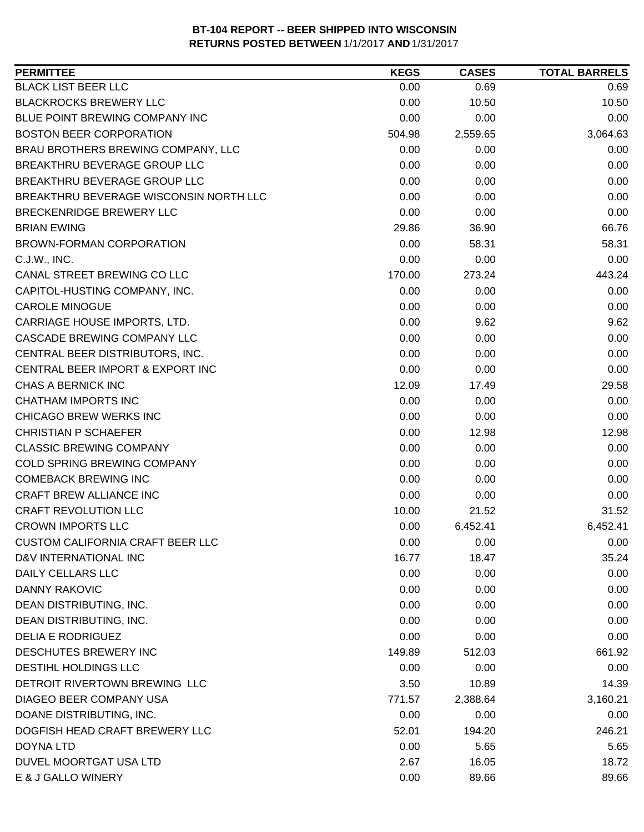| <b>PERMITTEE</b>                        | <b>KEGS</b> | <b>CASES</b> | <b>TOTAL BARRELS</b> |
|-----------------------------------------|-------------|--------------|----------------------|
| <b>BLACK LIST BEER LLC</b>              | 0.00        | 0.69         | 0.69                 |
| <b>BLACKROCKS BREWERY LLC</b>           | 0.00        | 10.50        | 10.50                |
| BLUE POINT BREWING COMPANY INC          | 0.00        | 0.00         | 0.00                 |
| <b>BOSTON BEER CORPORATION</b>          | 504.98      | 2,559.65     | 3,064.63             |
| BRAU BROTHERS BREWING COMPANY, LLC      | 0.00        | 0.00         | 0.00                 |
| BREAKTHRU BEVERAGE GROUP LLC            | 0.00        | 0.00         | 0.00                 |
| BREAKTHRU BEVERAGE GROUP LLC            | 0.00        | 0.00         | 0.00                 |
| BREAKTHRU BEVERAGE WISCONSIN NORTH LLC  | 0.00        | 0.00         | 0.00                 |
| <b>BRECKENRIDGE BREWERY LLC</b>         | 0.00        | 0.00         | 0.00                 |
| <b>BRIAN EWING</b>                      | 29.86       | 36.90        | 66.76                |
| BROWN-FORMAN CORPORATION                | 0.00        | 58.31        | 58.31                |
| C.J.W., INC.                            | 0.00        | 0.00         | 0.00                 |
| CANAL STREET BREWING CO LLC             | 170.00      | 273.24       | 443.24               |
| CAPITOL-HUSTING COMPANY, INC.           | 0.00        | 0.00         | 0.00                 |
| <b>CAROLE MINOGUE</b>                   | 0.00        | 0.00         | 0.00                 |
| CARRIAGE HOUSE IMPORTS, LTD.            | 0.00        | 9.62         | 9.62                 |
| <b>CASCADE BREWING COMPANY LLC</b>      | 0.00        | 0.00         | 0.00                 |
| CENTRAL BEER DISTRIBUTORS, INC.         | 0.00        | 0.00         | 0.00                 |
| CENTRAL BEER IMPORT & EXPORT INC        | 0.00        | 0.00         | 0.00                 |
| CHAS A BERNICK INC                      | 12.09       | 17.49        | 29.58                |
| <b>CHATHAM IMPORTS INC</b>              | 0.00        | 0.00         | 0.00                 |
| <b>CHICAGO BREW WERKS INC</b>           | 0.00        | 0.00         | 0.00                 |
| <b>CHRISTIAN P SCHAEFER</b>             | 0.00        | 12.98        | 12.98                |
| <b>CLASSIC BREWING COMPANY</b>          | 0.00        | 0.00         | 0.00                 |
| COLD SPRING BREWING COMPANY             | 0.00        | 0.00         | 0.00                 |
| <b>COMEBACK BREWING INC</b>             | 0.00        | 0.00         | 0.00                 |
| CRAFT BREW ALLIANCE INC                 | 0.00        | 0.00         | 0.00                 |
| <b>CRAFT REVOLUTION LLC</b>             | 10.00       | 21.52        | 31.52                |
| <b>CROWN IMPORTS LLC</b>                | 0.00        | 6,452.41     | 6,452.41             |
| <b>CUSTOM CALIFORNIA CRAFT BEER LLC</b> | 0.00        | 0.00         | 0.00                 |
| D&V INTERNATIONAL INC                   | 16.77       | 18.47        | 35.24                |
| <b>DAILY CELLARS LLC</b>                | 0.00        | 0.00         | 0.00                 |
| <b>DANNY RAKOVIC</b>                    | 0.00        | 0.00         | 0.00                 |
| DEAN DISTRIBUTING, INC.                 | 0.00        | 0.00         | 0.00                 |
| DEAN DISTRIBUTING, INC.                 | 0.00        | 0.00         | 0.00                 |
| <b>DELIA E RODRIGUEZ</b>                | 0.00        | 0.00         | 0.00                 |
| DESCHUTES BREWERY INC                   | 149.89      | 512.03       | 661.92               |
| DESTIHL HOLDINGS LLC                    | 0.00        | 0.00         | 0.00                 |
| DETROIT RIVERTOWN BREWING LLC           | 3.50        | 10.89        | 14.39                |
| DIAGEO BEER COMPANY USA                 | 771.57      | 2,388.64     | 3,160.21             |
| DOANE DISTRIBUTING, INC.                | 0.00        | 0.00         | 0.00                 |
| DOGFISH HEAD CRAFT BREWERY LLC          | 52.01       | 194.20       | 246.21               |
| <b>DOYNA LTD</b>                        | 0.00        | 5.65         | 5.65                 |
| DUVEL MOORTGAT USA LTD                  | 2.67        | 16.05        | 18.72                |
| E & J GALLO WINERY                      | 0.00        | 89.66        | 89.66                |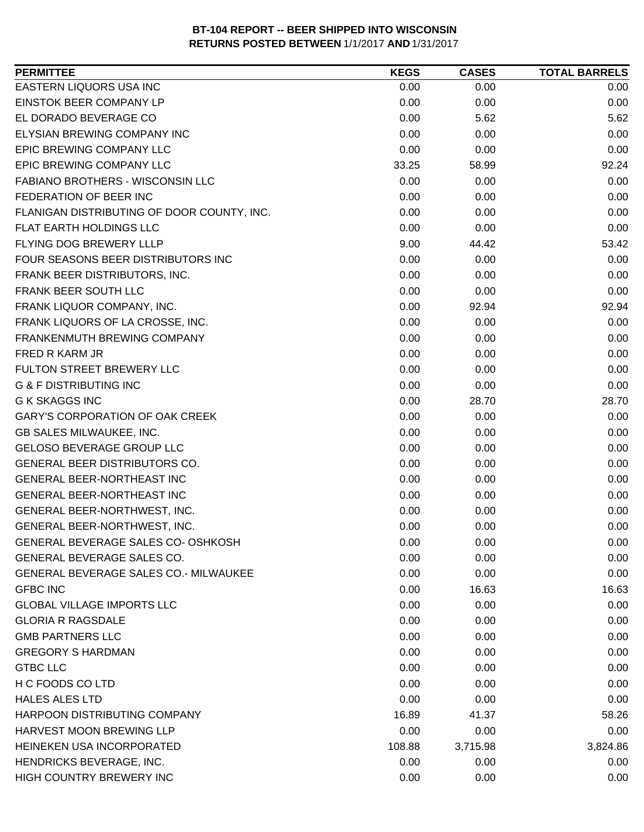| <b>PERMITTEE</b>                             | <b>KEGS</b> | <b>CASES</b> | <b>TOTAL BARRELS</b> |
|----------------------------------------------|-------------|--------------|----------------------|
| EASTERN LIQUORS USA INC                      | 0.00        | 0.00         | 0.00                 |
| <b>EINSTOK BEER COMPANY LP</b>               | 0.00        | 0.00         | 0.00                 |
| EL DORADO BEVERAGE CO                        | 0.00        | 5.62         | 5.62                 |
| ELYSIAN BREWING COMPANY INC                  | 0.00        | 0.00         | 0.00                 |
| EPIC BREWING COMPANY LLC                     | 0.00        | 0.00         | 0.00                 |
| EPIC BREWING COMPANY LLC                     | 33.25       | 58.99        | 92.24                |
| FABIANO BROTHERS - WISCONSIN LLC             | 0.00        | 0.00         | 0.00                 |
| FEDERATION OF BEER INC                       | 0.00        | 0.00         | 0.00                 |
| FLANIGAN DISTRIBUTING OF DOOR COUNTY, INC.   | 0.00        | 0.00         | 0.00                 |
| FLAT EARTH HOLDINGS LLC                      | 0.00        | 0.00         | 0.00                 |
| FLYING DOG BREWERY LLLP                      | 9.00        | 44.42        | 53.42                |
| FOUR SEASONS BEER DISTRIBUTORS INC           | 0.00        | 0.00         | 0.00                 |
| FRANK BEER DISTRIBUTORS, INC.                | 0.00        | 0.00         | 0.00                 |
| FRANK BEER SOUTH LLC                         | 0.00        | 0.00         | 0.00                 |
| FRANK LIQUOR COMPANY, INC.                   | 0.00        | 92.94        | 92.94                |
| FRANK LIQUORS OF LA CROSSE, INC.             | 0.00        | 0.00         | 0.00                 |
| <b>FRANKENMUTH BREWING COMPANY</b>           | 0.00        | 0.00         | 0.00                 |
| <b>FRED R KARM JR</b>                        | 0.00        | 0.00         | 0.00                 |
| FULTON STREET BREWERY LLC                    | 0.00        | 0.00         | 0.00                 |
| <b>G &amp; F DISTRIBUTING INC</b>            | 0.00        | 0.00         | 0.00                 |
| <b>G K SKAGGS INC</b>                        | 0.00        | 28.70        | 28.70                |
| <b>GARY'S CORPORATION OF OAK CREEK</b>       | 0.00        | 0.00         | 0.00                 |
| GB SALES MILWAUKEE, INC.                     | 0.00        | 0.00         | 0.00                 |
| GELOSO BEVERAGE GROUP LLC                    | 0.00        | 0.00         | 0.00                 |
| GENERAL BEER DISTRIBUTORS CO.                | 0.00        | 0.00         | 0.00                 |
| GENERAL BEER-NORTHEAST INC                   | 0.00        | 0.00         | 0.00                 |
| GENERAL BEER-NORTHEAST INC                   | 0.00        | 0.00         | 0.00                 |
| GENERAL BEER-NORTHWEST, INC.                 | 0.00        | 0.00         | 0.00                 |
| <b>GENERAL BEER-NORTHWEST, INC.</b>          | 0.00        | 0.00         | 0.00                 |
| <b>GENERAL BEVERAGE SALES CO- OSHKOSH</b>    | 0.00        | 0.00         | 0.00                 |
| <b>GENERAL BEVERAGE SALES CO.</b>            | 0.00        | 0.00         | 0.00                 |
| <b>GENERAL BEVERAGE SALES CO.- MILWAUKEE</b> | 0.00        | 0.00         | 0.00                 |
| <b>GFBC INC</b>                              | 0.00        | 16.63        | 16.63                |
| <b>GLOBAL VILLAGE IMPORTS LLC</b>            | 0.00        | 0.00         | 0.00                 |
| <b>GLORIA R RAGSDALE</b>                     | 0.00        | 0.00         | 0.00                 |
| <b>GMB PARTNERS LLC</b>                      | 0.00        | 0.00         | 0.00                 |
| <b>GREGORY S HARDMAN</b>                     | 0.00        | 0.00         | 0.00                 |
| <b>GTBC LLC</b>                              | 0.00        | 0.00         | 0.00                 |
| H C FOODS CO LTD                             | 0.00        | 0.00         | 0.00                 |
| <b>HALES ALES LTD</b>                        | 0.00        | 0.00         | 0.00                 |
| HARPOON DISTRIBUTING COMPANY                 | 16.89       | 41.37        | 58.26                |
| <b>HARVEST MOON BREWING LLP</b>              | 0.00        | 0.00         | 0.00                 |
| HEINEKEN USA INCORPORATED                    | 108.88      | 3,715.98     | 3,824.86             |
| HENDRICKS BEVERAGE, INC.                     | 0.00        | 0.00         | 0.00                 |
| HIGH COUNTRY BREWERY INC                     | 0.00        | 0.00         | 0.00                 |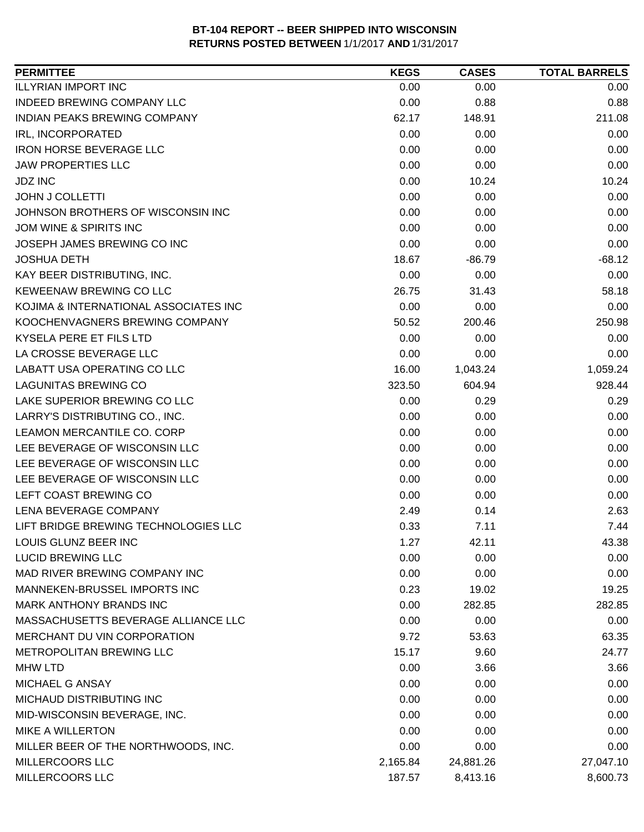| <b>PERMITTEE</b>                      | <b>KEGS</b> | <b>CASES</b> | <b>TOTAL BARRELS</b> |
|---------------------------------------|-------------|--------------|----------------------|
| <b>ILLYRIAN IMPORT INC</b>            | 0.00        | 0.00         | 0.00                 |
| INDEED BREWING COMPANY LLC            | 0.00        | 0.88         | 0.88                 |
| INDIAN PEAKS BREWING COMPANY          | 62.17       | 148.91       | 211.08               |
| <b>IRL, INCORPORATED</b>              | 0.00        | 0.00         | 0.00                 |
| <b>IRON HORSE BEVERAGE LLC</b>        | 0.00        | 0.00         | 0.00                 |
| <b>JAW PROPERTIES LLC</b>             | 0.00        | 0.00         | 0.00                 |
| <b>JDZ INC</b>                        | 0.00        | 10.24        | 10.24                |
| <b>JOHN J COLLETTI</b>                | 0.00        | 0.00         | 0.00                 |
| JOHNSON BROTHERS OF WISCONSIN INC     | 0.00        | 0.00         | 0.00                 |
| JOM WINE & SPIRITS INC                | 0.00        | 0.00         | 0.00                 |
| JOSEPH JAMES BREWING CO INC           | 0.00        | 0.00         | 0.00                 |
| <b>JOSHUA DETH</b>                    | 18.67       | $-86.79$     | $-68.12$             |
| KAY BEER DISTRIBUTING, INC.           | 0.00        | 0.00         | 0.00                 |
| KEWEENAW BREWING CO LLC               | 26.75       | 31.43        | 58.18                |
| KOJIMA & INTERNATIONAL ASSOCIATES INC | 0.00        | 0.00         | 0.00                 |
| KOOCHENVAGNERS BREWING COMPANY        | 50.52       | 200.46       | 250.98               |
| <b>KYSELA PERE ET FILS LTD</b>        | 0.00        | 0.00         | 0.00                 |
| LA CROSSE BEVERAGE LLC                | 0.00        | 0.00         | 0.00                 |
| LABATT USA OPERATING CO LLC           | 16.00       | 1,043.24     | 1,059.24             |
| <b>LAGUNITAS BREWING CO</b>           | 323.50      | 604.94       | 928.44               |
| LAKE SUPERIOR BREWING CO LLC          | 0.00        | 0.29         | 0.29                 |
| LARRY'S DISTRIBUTING CO., INC.        | 0.00        | 0.00         | 0.00                 |
| LEAMON MERCANTILE CO. CORP            | 0.00        | 0.00         | 0.00                 |
| LEE BEVERAGE OF WISCONSIN LLC         | 0.00        | 0.00         | 0.00                 |
| LEE BEVERAGE OF WISCONSIN LLC         | 0.00        | 0.00         | 0.00                 |
| LEE BEVERAGE OF WISCONSIN LLC         | 0.00        | 0.00         | 0.00                 |
| LEFT COAST BREWING CO                 | 0.00        | 0.00         | 0.00                 |
| LENA BEVERAGE COMPANY                 | 2.49        | 0.14         | 2.63                 |
| LIFT BRIDGE BREWING TECHNOLOGIES LLC  | 0.33        | 7.11         | 7.44                 |
| LOUIS GLUNZ BEER INC                  | 1.27        | 42.11        | 43.38                |
| <b>LUCID BREWING LLC</b>              | 0.00        | 0.00         | 0.00                 |
| MAD RIVER BREWING COMPANY INC         | 0.00        | 0.00         | 0.00                 |
| MANNEKEN-BRUSSEL IMPORTS INC          | 0.23        | 19.02        | 19.25                |
| <b>MARK ANTHONY BRANDS INC</b>        | 0.00        | 282.85       | 282.85               |
| MASSACHUSETTS BEVERAGE ALLIANCE LLC   | 0.00        | 0.00         | 0.00                 |
| MERCHANT DU VIN CORPORATION           | 9.72        | 53.63        | 63.35                |
| METROPOLITAN BREWING LLC              | 15.17       | 9.60         | 24.77                |
| <b>MHW LTD</b>                        | 0.00        | 3.66         | 3.66                 |
| <b>MICHAEL G ANSAY</b>                | 0.00        | 0.00         | 0.00                 |
| MICHAUD DISTRIBUTING INC              | 0.00        | 0.00         | 0.00                 |
| MID-WISCONSIN BEVERAGE, INC.          | 0.00        | 0.00         | 0.00                 |
| MIKE A WILLERTON                      | 0.00        | 0.00         | 0.00                 |
| MILLER BEER OF THE NORTHWOODS, INC.   | 0.00        | 0.00         | 0.00                 |
| <b>MILLERCOORS LLC</b>                | 2,165.84    | 24,881.26    | 27,047.10            |
| MILLERCOORS LLC                       | 187.57      | 8,413.16     | 8,600.73             |
|                                       |             |              |                      |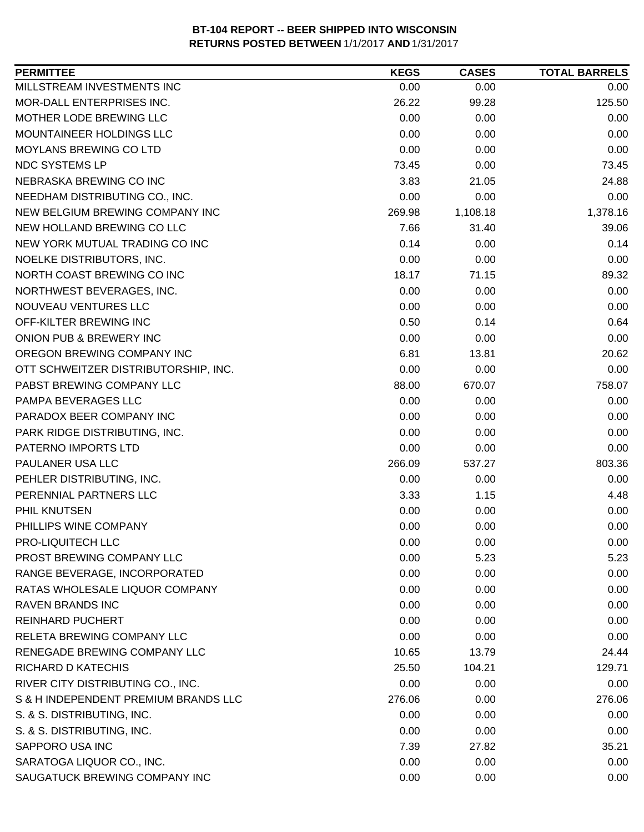| <b>PERMITTEE</b>                     | <b>KEGS</b> | <b>CASES</b> | <b>TOTAL BARRELS</b> |
|--------------------------------------|-------------|--------------|----------------------|
| MILLSTREAM INVESTMENTS INC           | 0.00        | 0.00         | 0.00                 |
| <b>MOR-DALL ENTERPRISES INC.</b>     | 26.22       | 99.28        | 125.50               |
| MOTHER LODE BREWING LLC              | 0.00        | 0.00         | 0.00                 |
| MOUNTAINEER HOLDINGS LLC             | 0.00        | 0.00         | 0.00                 |
| <b>MOYLANS BREWING CO LTD</b>        | 0.00        | 0.00         | 0.00                 |
| NDC SYSTEMS LP                       | 73.45       | 0.00         | 73.45                |
| NEBRASKA BREWING CO INC              | 3.83        | 21.05        | 24.88                |
| NEEDHAM DISTRIBUTING CO., INC.       | 0.00        | 0.00         | 0.00                 |
| NEW BELGIUM BREWING COMPANY INC      | 269.98      | 1,108.18     | 1,378.16             |
| NEW HOLLAND BREWING CO LLC           | 7.66        | 31.40        | 39.06                |
| NEW YORK MUTUAL TRADING CO INC       | 0.14        | 0.00         | 0.14                 |
| NOELKE DISTRIBUTORS, INC.            | 0.00        | 0.00         | 0.00                 |
| NORTH COAST BREWING CO INC           | 18.17       | 71.15        | 89.32                |
| NORTHWEST BEVERAGES, INC.            | 0.00        | 0.00         | 0.00                 |
| NOUVEAU VENTURES LLC                 | 0.00        | 0.00         | 0.00                 |
| OFF-KILTER BREWING INC               | 0.50        | 0.14         | 0.64                 |
| ONION PUB & BREWERY INC              | 0.00        | 0.00         | 0.00                 |
| OREGON BREWING COMPANY INC           | 6.81        | 13.81        | 20.62                |
| OTT SCHWEITZER DISTRIBUTORSHIP, INC. | 0.00        | 0.00         | 0.00                 |
| PABST BREWING COMPANY LLC            | 88.00       | 670.07       | 758.07               |
| PAMPA BEVERAGES LLC                  | 0.00        | 0.00         | 0.00                 |
| PARADOX BEER COMPANY INC             | 0.00        | 0.00         | 0.00                 |
| PARK RIDGE DISTRIBUTING, INC.        | 0.00        | 0.00         | 0.00                 |
| PATERNO IMPORTS LTD                  | 0.00        | 0.00         | 0.00                 |
| PAULANER USA LLC                     | 266.09      | 537.27       | 803.36               |
| PEHLER DISTRIBUTING, INC.            | 0.00        | 0.00         | 0.00                 |
| PERENNIAL PARTNERS LLC               | 3.33        | 1.15         | 4.48                 |
| PHIL KNUTSEN                         | 0.00        | 0.00         | 0.00                 |
| PHILLIPS WINE COMPANY                | 0.00        | 0.00         | 0.00                 |
| PRO-LIQUITECH LLC                    | 0.00        | 0.00         | 0.00                 |
| PROST BREWING COMPANY LLC            | 0.00        | 5.23         | 5.23                 |
| RANGE BEVERAGE, INCORPORATED         | 0.00        | 0.00         | 0.00                 |
| RATAS WHOLESALE LIQUOR COMPANY       | 0.00        | 0.00         | 0.00                 |
| <b>RAVEN BRANDS INC</b>              | 0.00        | 0.00         | 0.00                 |
| <b>REINHARD PUCHERT</b>              | 0.00        | 0.00         | 0.00                 |
| RELETA BREWING COMPANY LLC           | 0.00        | 0.00         | 0.00                 |
| RENEGADE BREWING COMPANY LLC         | 10.65       | 13.79        | 24.44                |
| <b>RICHARD D KATECHIS</b>            | 25.50       | 104.21       | 129.71               |
| RIVER CITY DISTRIBUTING CO., INC.    | 0.00        | 0.00         | 0.00                 |
| S & H INDEPENDENT PREMIUM BRANDS LLC | 276.06      | 0.00         | 276.06               |
| S. & S. DISTRIBUTING, INC.           | 0.00        | 0.00         | 0.00                 |
| S. & S. DISTRIBUTING, INC.           | 0.00        | 0.00         | 0.00                 |
| SAPPORO USA INC                      | 7.39        | 27.82        | 35.21                |
| SARATOGA LIQUOR CO., INC.            | 0.00        | 0.00         | 0.00                 |
|                                      |             |              |                      |
| SAUGATUCK BREWING COMPANY INC        | 0.00        | 0.00         | 0.00                 |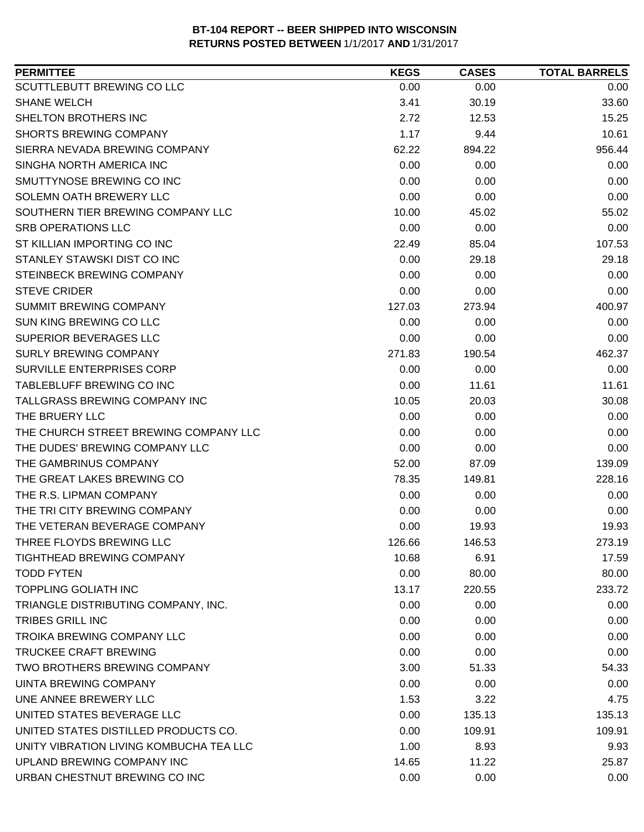| <b>PERMITTEE</b>                        | <b>KEGS</b> | <b>CASES</b> | <b>TOTAL BARRELS</b> |
|-----------------------------------------|-------------|--------------|----------------------|
| SCUTTLEBUTT BREWING CO LLC              | 0.00        | 0.00         | 0.00                 |
| <b>SHANE WELCH</b>                      | 3.41        | 30.19        | 33.60                |
| SHELTON BROTHERS INC                    | 2.72        | 12.53        | 15.25                |
| <b>SHORTS BREWING COMPANY</b>           | 1.17        | 9.44         | 10.61                |
| SIERRA NEVADA BREWING COMPANY           | 62.22       | 894.22       | 956.44               |
| SINGHA NORTH AMERICA INC                | 0.00        | 0.00         | 0.00                 |
| SMUTTYNOSE BREWING CO INC               | 0.00        | 0.00         | 0.00                 |
| SOLEMN OATH BREWERY LLC                 | 0.00        | 0.00         | 0.00                 |
| SOUTHERN TIER BREWING COMPANY LLC       | 10.00       | 45.02        | 55.02                |
| <b>SRB OPERATIONS LLC</b>               | 0.00        | 0.00         | 0.00                 |
| ST KILLIAN IMPORTING CO INC             | 22.49       | 85.04        | 107.53               |
| STANLEY STAWSKI DIST CO INC             | 0.00        | 29.18        | 29.18                |
| STEINBECK BREWING COMPANY               | 0.00        | 0.00         | 0.00                 |
| <b>STEVE CRIDER</b>                     | 0.00        | 0.00         | 0.00                 |
| SUMMIT BREWING COMPANY                  | 127.03      | 273.94       | 400.97               |
| SUN KING BREWING CO LLC                 | 0.00        | 0.00         | 0.00                 |
| <b>SUPERIOR BEVERAGES LLC</b>           | 0.00        | 0.00         | 0.00                 |
| <b>SURLY BREWING COMPANY</b>            | 271.83      | 190.54       | 462.37               |
| SURVILLE ENTERPRISES CORP               | 0.00        | 0.00         | 0.00                 |
| TABLEBLUFF BREWING CO INC               | 0.00        | 11.61        | 11.61                |
| TALLGRASS BREWING COMPANY INC           | 10.05       | 20.03        | 30.08                |
| THE BRUERY LLC                          | 0.00        | 0.00         | 0.00                 |
| THE CHURCH STREET BREWING COMPANY LLC   | 0.00        | 0.00         | 0.00                 |
| THE DUDES' BREWING COMPANY LLC          | 0.00        | 0.00         | 0.00                 |
| THE GAMBRINUS COMPANY                   | 52.00       | 87.09        | 139.09               |
| THE GREAT LAKES BREWING CO              | 78.35       | 149.81       | 228.16               |
| THE R.S. LIPMAN COMPANY                 | 0.00        | 0.00         | 0.00                 |
| THE TRI CITY BREWING COMPANY            | 0.00        | 0.00         | 0.00                 |
| THE VETERAN BEVERAGE COMPANY            | 0.00        | 19.93        | 19.93                |
| THREE FLOYDS BREWING LLC                | 126.66      | 146.53       | 273.19               |
| TIGHTHEAD BREWING COMPANY               | 10.68       | 6.91         | 17.59                |
| <b>TODD FYTEN</b>                       | 0.00        | 80.00        | 80.00                |
| <b>TOPPLING GOLIATH INC</b>             | 13.17       | 220.55       | 233.72               |
| TRIANGLE DISTRIBUTING COMPANY, INC.     | 0.00        | 0.00         | 0.00                 |
| <b>TRIBES GRILL INC</b>                 | 0.00        | 0.00         | 0.00                 |
| <b>TROIKA BREWING COMPANY LLC</b>       | 0.00        | 0.00         | 0.00                 |
| <b>TRUCKEE CRAFT BREWING</b>            | 0.00        | 0.00         | 0.00                 |
| <b>TWO BROTHERS BREWING COMPANY</b>     | 3.00        | 51.33        | 54.33                |
| UINTA BREWING COMPANY                   | 0.00        | 0.00         | 0.00                 |
| UNE ANNEE BREWERY LLC                   | 1.53        | 3.22         | 4.75                 |
| UNITED STATES BEVERAGE LLC              | 0.00        | 135.13       | 135.13               |
| UNITED STATES DISTILLED PRODUCTS CO.    | 0.00        | 109.91       | 109.91               |
| UNITY VIBRATION LIVING KOMBUCHA TEA LLC | 1.00        | 8.93         | 9.93                 |
| UPLAND BREWING COMPANY INC              | 14.65       | 11.22        | 25.87                |
| URBAN CHESTNUT BREWING CO INC           | 0.00        | 0.00         | 0.00                 |
|                                         |             |              |                      |